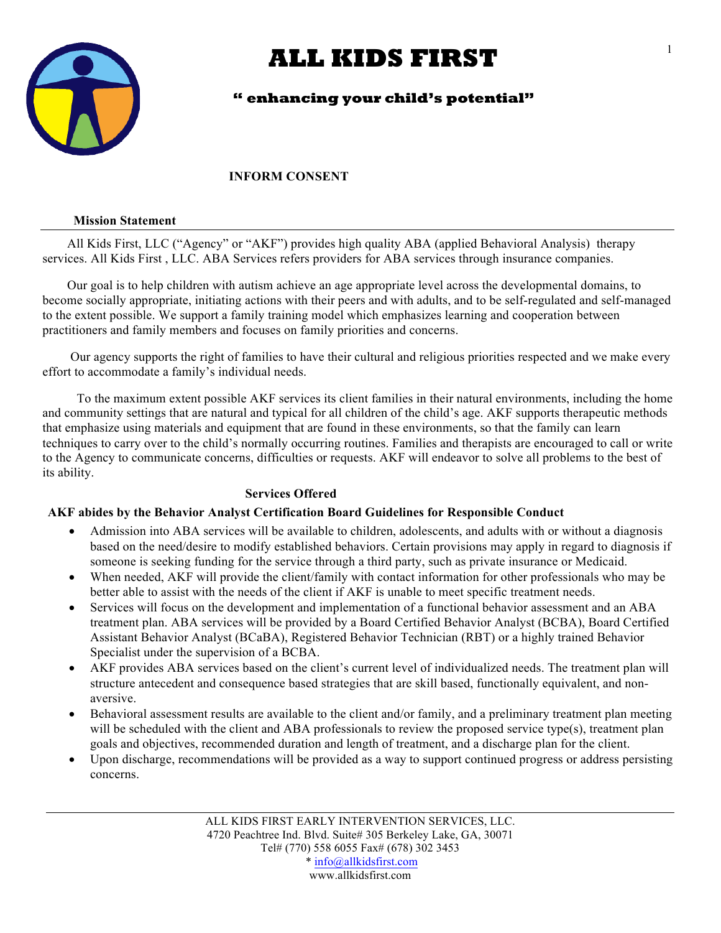

## **" enhancing your child's potential"**

### **INFORM CONSENT**

#### **Mission Statement**

 All Kids First, LLC ("Agency" or "AKF") provides high quality ABA (applied Behavioral Analysis) therapy services. All Kids First , LLC. ABA Services refers providers for ABA services through insurance companies.

 Our goal is to help children with autism achieve an age appropriate level across the developmental domains, to become socially appropriate, initiating actions with their peers and with adults, and to be self-regulated and self-managed to the extent possible. We support a family training model which emphasizes learning and cooperation between practitioners and family members and focuses on family priorities and concerns.

 Our agency supports the right of families to have their cultural and religious priorities respected and we make every effort to accommodate a family's individual needs.

 To the maximum extent possible AKF services its client families in their natural environments, including the home and community settings that are natural and typical for all children of the child's age. AKF supports therapeutic methods that emphasize using materials and equipment that are found in these environments, so that the family can learn techniques to carry over to the child's normally occurring routines. Families and therapists are encouraged to call or write to the Agency to communicate concerns, difficulties or requests. AKF will endeavor to solve all problems to the best of its ability.

## **Services Offered**

### **AKF abides by the Behavior Analyst Certification Board Guidelines for Responsible Conduct**

- Admission into ABA services will be available to children, adolescents, and adults with or without a diagnosis based on the need/desire to modify established behaviors. Certain provisions may apply in regard to diagnosis if someone is seeking funding for the service through a third party, such as private insurance or Medicaid.
- When needed, AKF will provide the client/family with contact information for other professionals who may be better able to assist with the needs of the client if AKF is unable to meet specific treatment needs.
- Services will focus on the development and implementation of a functional behavior assessment and an ABA treatment plan. ABA services will be provided by a Board Certified Behavior Analyst (BCBA), Board Certified Assistant Behavior Analyst (BCaBA), Registered Behavior Technician (RBT) or a highly trained Behavior Specialist under the supervision of a BCBA.
- AKF provides ABA services based on the client's current level of individualized needs. The treatment plan will structure antecedent and consequence based strategies that are skill based, functionally equivalent, and nonaversive.
- Behavioral assessment results are available to the client and/or family, and a preliminary treatment plan meeting will be scheduled with the client and ABA professionals to review the proposed service type(s), treatment plan goals and objectives, recommended duration and length of treatment, and a discharge plan for the client.
- Upon discharge, recommendations will be provided as a way to support continued progress or address persisting concerns.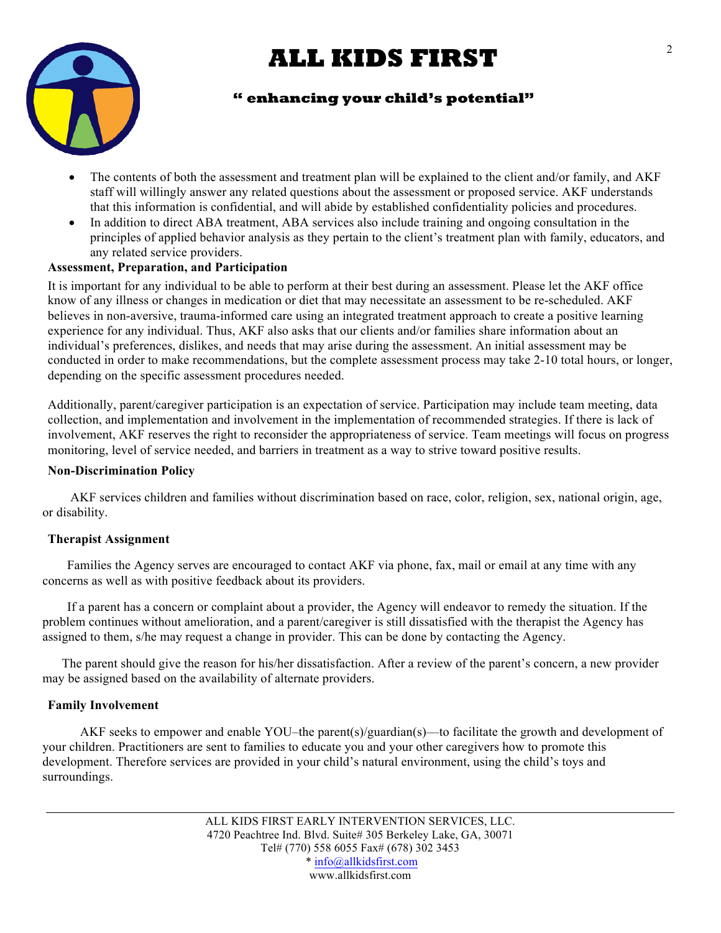

## **" enhancing your child's potential"**

- The contents of both the assessment and treatment plan will be explained to the client and/or family, and AKF staff will willingly answer any related questions about the assessment or proposed service. AKF understands that this information is confidential, and will abide by established confidentiality policies and procedures.
- In addition to direct ABA treatment, ABA services also include training and ongoing consultation in the principles of applied behavior analysis as they pertain to the client's treatment plan with family, educators, and any related service providers.

## **Assessment, Preparation, and Participation**

It is important for any individual to be able to perform at their best during an assessment. Please let the AKF office know of any illness or changes in medication or diet that may necessitate an assessment to be re-scheduled. AKF believes in non-aversive, trauma-informed care using an integrated treatment approach to create a positive learning experience for any individual. Thus, AKF also asks that our clients and/or families share information about an individual's preferences, dislikes, and needs that may arise during the assessment. An initial assessment may be conducted in order to make recommendations, but the complete assessment process may take 2-10 total hours, or longer, depending on the specific assessment procedures needed.

Additionally, parent/caregiver participation is an expectation of service. Participation may include team meeting, data collection, and implementation and involvement in the implementation of recommended strategies. If there is lack of involvement, AKF reserves the right to reconsider the appropriateness of service. Team meetings will focus on progress monitoring, level of service needed, and barriers in treatment as a way to strive toward positive results.

### **Non-Discrimination Policy**

 AKF services children and families without discrimination based on race, color, religion, sex, national origin, age, or disability.

### **Therapist Assignment**

 Families the Agency serves are encouraged to contact AKF via phone, fax, mail or email at any time with any concerns as well as with positive feedback about its providers.

 If a parent has a concern or complaint about a provider, the Agency will endeavor to remedy the situation. If the problem continues without amelioration, and a parent/caregiver is still dissatisfied with the therapist the Agency has assigned to them, s/he may request a change in provider. This can be done by contacting the Agency.

 The parent should give the reason for his/her dissatisfaction. After a review of the parent's concern, a new provider may be assigned based on the availability of alternate providers.

## **Family Involvement**

 AKF seeks to empower and enable YOU–the parent(s)/guardian(s)—to facilitate the growth and development of your children. Practitioners are sent to families to educate you and your other caregivers how to promote this development. Therefore services are provided in your child's natural environment, using the child's toys and surroundings.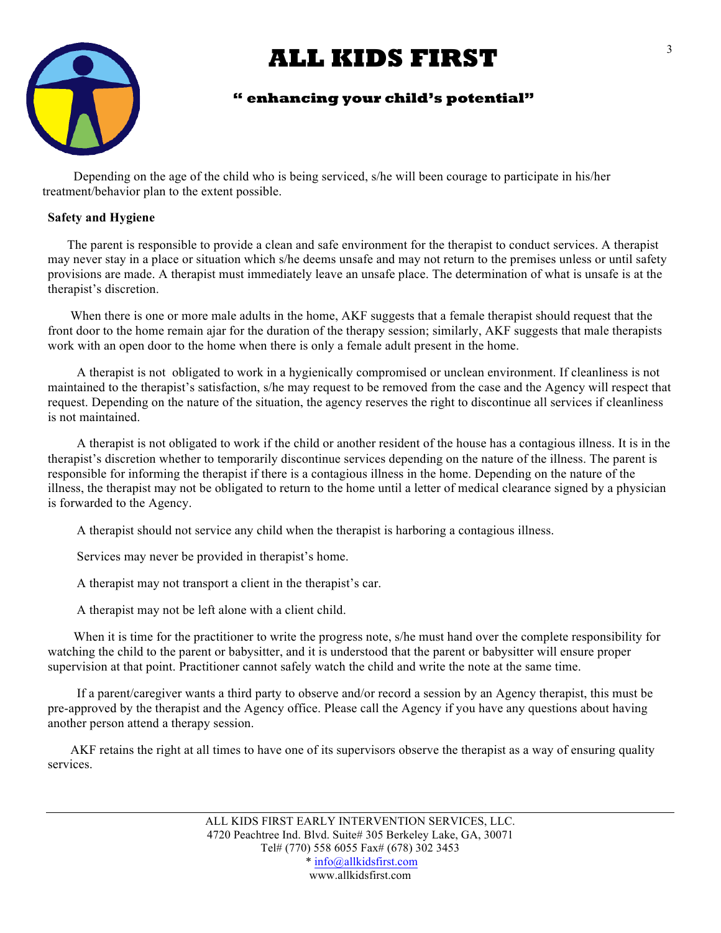

## **" enhancing your child's potential"**

 Depending on the age of the child who is being serviced, s/he will been courage to participate in his/her treatment/behavior plan to the extent possible.

### **Safety and Hygiene**

 The parent is responsible to provide a clean and safe environment for the therapist to conduct services. A therapist may never stay in a place or situation which s/he deems unsafe and may not return to the premises unless or until safety provisions are made. A therapist must immediately leave an unsafe place. The determination of what is unsafe is at the therapist's discretion.

When there is one or more male adults in the home, AKF suggests that a female therapist should request that the front door to the home remain ajar for the duration of the therapy session; similarly, AKF suggests that male therapists work with an open door to the home when there is only a female adult present in the home.

 A therapist is not obligated to work in a hygienically compromised or unclean environment. If cleanliness is not maintained to the therapist's satisfaction, s/he may request to be removed from the case and the Agency will respect that request. Depending on the nature of the situation, the agency reserves the right to discontinue all services if cleanliness is not maintained.

 A therapist is not obligated to work if the child or another resident of the house has a contagious illness. It is in the therapist's discretion whether to temporarily discontinue services depending on the nature of the illness. The parent is responsible for informing the therapist if there is a contagious illness in the home. Depending on the nature of the illness, the therapist may not be obligated to return to the home until a letter of medical clearance signed by a physician is forwarded to the Agency.

A therapist should not service any child when the therapist is harboring a contagious illness.

Services may never be provided in therapist's home.

A therapist may not transport a client in the therapist's car.

A therapist may not be left alone with a client child.

 When it is time for the practitioner to write the progress note, s/he must hand over the complete responsibility for watching the child to the parent or babysitter, and it is understood that the parent or babysitter will ensure proper supervision at that point. Practitioner cannot safely watch the child and write the note at the same time.

 If a parent/caregiver wants a third party to observe and/or record a session by an Agency therapist, this must be pre-approved by the therapist and the Agency office. Please call the Agency if you have any questions about having another person attend a therapy session.

 AKF retains the right at all times to have one of its supervisors observe the therapist as a way of ensuring quality services.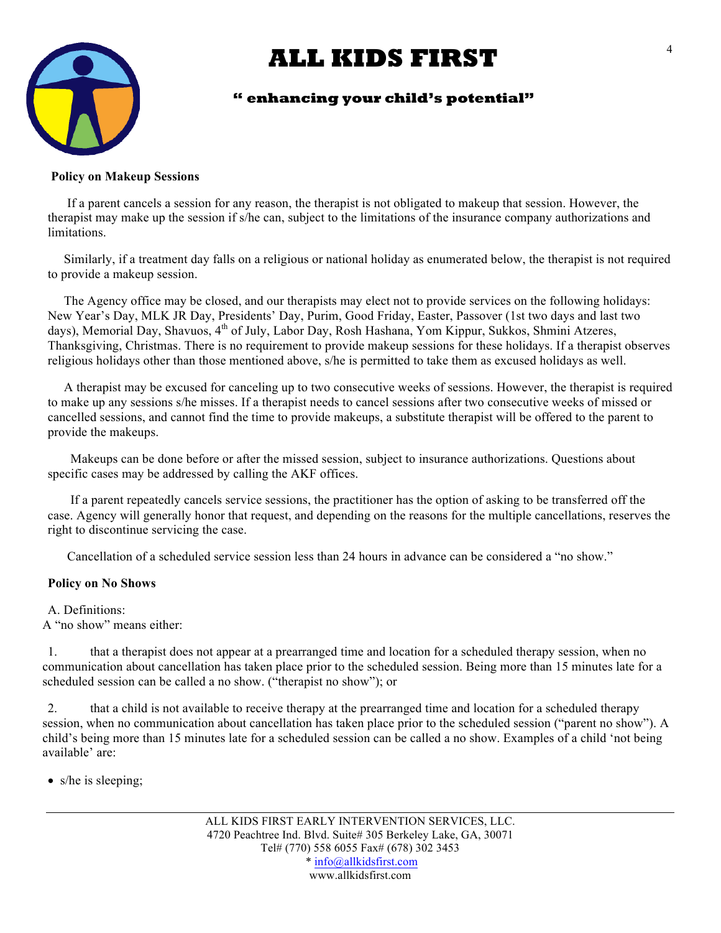

## **" enhancing your child's potential"**

#### **Policy on Makeup Sessions**

 If a parent cancels a session for any reason, the therapist is not obligated to makeup that session. However, the therapist may make up the session if s/he can, subject to the limitations of the insurance company authorizations and limitations.

 Similarly, if a treatment day falls on a religious or national holiday as enumerated below, the therapist is not required to provide a makeup session.

 The Agency office may be closed, and our therapists may elect not to provide services on the following holidays: New Year's Day, MLK JR Day, Presidents' Day, Purim, Good Friday, Easter, Passover (1st two days and last two days), Memorial Day, Shavuos, 4<sup>th</sup> of July, Labor Day, Rosh Hashana, Yom Kippur, Sukkos, Shmini Atzeres, Thanksgiving, Christmas. There is no requirement to provide makeup sessions for these holidays. If a therapist observes religious holidays other than those mentioned above, s/he is permitted to take them as excused holidays as well.

 A therapist may be excused for canceling up to two consecutive weeks of sessions. However, the therapist is required to make up any sessions s/he misses. If a therapist needs to cancel sessions after two consecutive weeks of missed or cancelled sessions, and cannot find the time to provide makeups, a substitute therapist will be offered to the parent to provide the makeups.

 Makeups can be done before or after the missed session, subject to insurance authorizations. Questions about specific cases may be addressed by calling the AKF offices.

 If a parent repeatedly cancels service sessions, the practitioner has the option of asking to be transferred off the case. Agency will generally honor that request, and depending on the reasons for the multiple cancellations, reserves the right to discontinue servicing the case.

Cancellation of a scheduled service session less than 24 hours in advance can be considered a "no show."

### **Policy on No Shows**

A. Definitions: A "no show" means either:

1. that a therapist does not appear at a prearranged time and location for a scheduled therapy session, when no communication about cancellation has taken place prior to the scheduled session. Being more than 15 minutes late for a scheduled session can be called a no show. ("therapist no show"); or

2. that a child is not available to receive therapy at the prearranged time and location for a scheduled therapy session, when no communication about cancellation has taken place prior to the scheduled session ("parent no show"). A child's being more than 15 minutes late for a scheduled session can be called a no show. Examples of a child 'not being available' are:

• s/he is sleeping;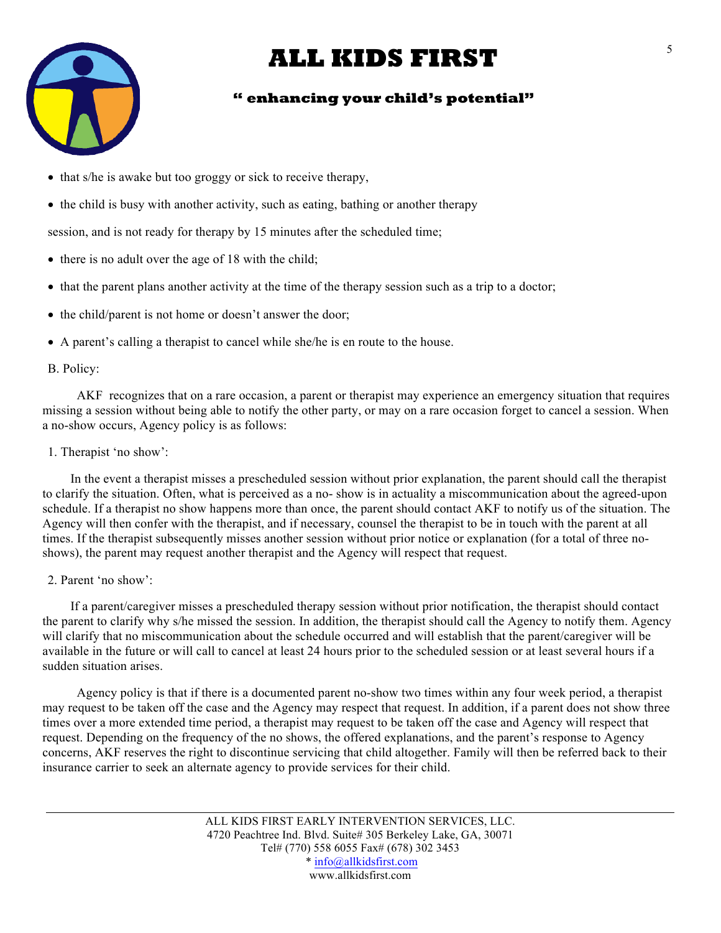

## **" enhancing your child's potential"**

- that s/he is awake but too groggy or sick to receive therapy,
- the child is busy with another activity, such as eating, bathing or another therapy

session, and is not ready for therapy by 15 minutes after the scheduled time;

- there is no adult over the age of 18 with the child;
- that the parent plans another activity at the time of the therapy session such as a trip to a doctor;
- the child/parent is not home or doesn't answer the door;
- A parent's calling a therapist to cancel while she/he is en route to the house.

#### B. Policy:

 AKF recognizes that on a rare occasion, a parent or therapist may experience an emergency situation that requires missing a session without being able to notify the other party, or may on a rare occasion forget to cancel a session. When a no-show occurs, Agency policy is as follows:

#### 1. Therapist 'no show':

 In the event a therapist misses a prescheduled session without prior explanation, the parent should call the therapist to clarify the situation. Often, what is perceived as a no- show is in actuality a miscommunication about the agreed-upon schedule. If a therapist no show happens more than once, the parent should contact AKF to notify us of the situation. The Agency will then confer with the therapist, and if necessary, counsel the therapist to be in touch with the parent at all times. If the therapist subsequently misses another session without prior notice or explanation (for a total of three noshows), the parent may request another therapist and the Agency will respect that request.

#### 2. Parent 'no show':

 If a parent/caregiver misses a prescheduled therapy session without prior notification, the therapist should contact the parent to clarify why s/he missed the session. In addition, the therapist should call the Agency to notify them. Agency will clarify that no miscommunication about the schedule occurred and will establish that the parent/caregiver will be available in the future or will call to cancel at least 24 hours prior to the scheduled session or at least several hours if a sudden situation arises.

 Agency policy is that if there is a documented parent no-show two times within any four week period, a therapist may request to be taken off the case and the Agency may respect that request. In addition, if a parent does not show three times over a more extended time period, a therapist may request to be taken off the case and Agency will respect that request. Depending on the frequency of the no shows, the offered explanations, and the parent's response to Agency concerns, AKF reserves the right to discontinue servicing that child altogether. Family will then be referred back to their insurance carrier to seek an alternate agency to provide services for their child.

> ALL KIDS FIRST EARLY INTERVENTION SERVICES, LLC. 4720 Peachtree Ind. Blvd. Suite# 305 Berkeley Lake, GA, 30071 Tel# (770) 558 6055 Fax# (678) 302 3453 \* info@allkidsfirst.com www.allkidsfirst.com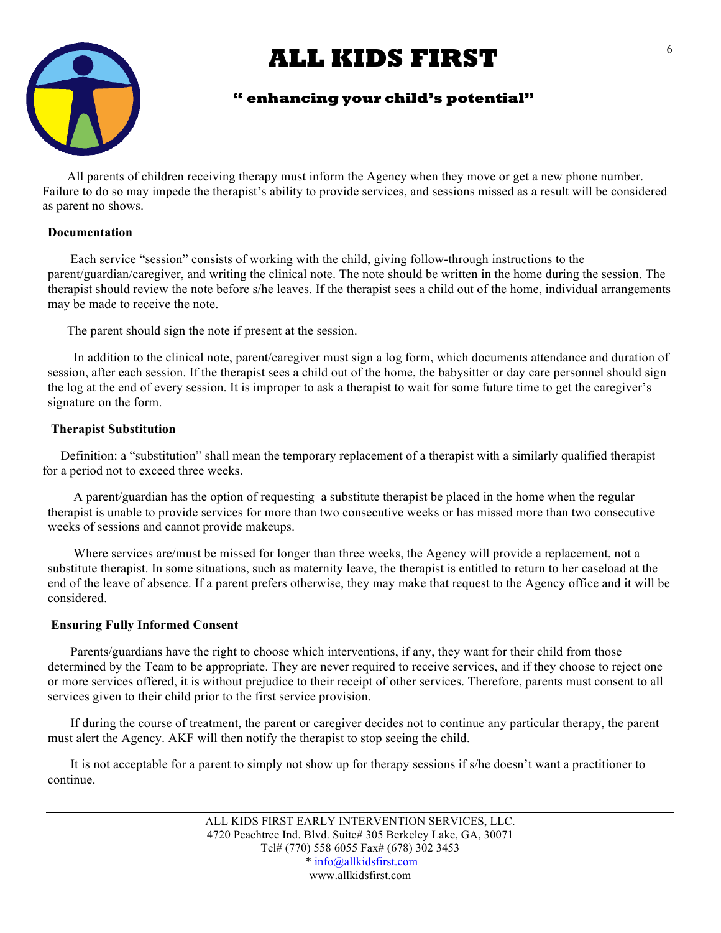

## **" enhancing your child's potential"**

 All parents of children receiving therapy must inform the Agency when they move or get a new phone number. Failure to do so may impede the therapist's ability to provide services, and sessions missed as a result will be considered as parent no shows.

### **Documentation**

 Each service "session" consists of working with the child, giving follow-through instructions to the parent/guardian/caregiver, and writing the clinical note. The note should be written in the home during the session. The therapist should review the note before s/he leaves. If the therapist sees a child out of the home, individual arrangements may be made to receive the note.

The parent should sign the note if present at the session.

 In addition to the clinical note, parent/caregiver must sign a log form, which documents attendance and duration of session, after each session. If the therapist sees a child out of the home, the babysitter or day care personnel should sign the log at the end of every session. It is improper to ask a therapist to wait for some future time to get the caregiver's signature on the form.

## **Therapist Substitution**

 Definition: a "substitution" shall mean the temporary replacement of a therapist with a similarly qualified therapist for a period not to exceed three weeks.

 A parent/guardian has the option of requesting a substitute therapist be placed in the home when the regular therapist is unable to provide services for more than two consecutive weeks or has missed more than two consecutive weeks of sessions and cannot provide makeups.

 Where services are/must be missed for longer than three weeks, the Agency will provide a replacement, not a substitute therapist. In some situations, such as maternity leave, the therapist is entitled to return to her caseload at the end of the leave of absence. If a parent prefers otherwise, they may make that request to the Agency office and it will be considered.

## **Ensuring Fully Informed Consent**

 Parents/guardians have the right to choose which interventions, if any, they want for their child from those determined by the Team to be appropriate. They are never required to receive services, and if they choose to reject one or more services offered, it is without prejudice to their receipt of other services. Therefore, parents must consent to all services given to their child prior to the first service provision.

 If during the course of treatment, the parent or caregiver decides not to continue any particular therapy, the parent must alert the Agency. AKF will then notify the therapist to stop seeing the child.

 It is not acceptable for a parent to simply not show up for therapy sessions if s/he doesn't want a practitioner to continue.